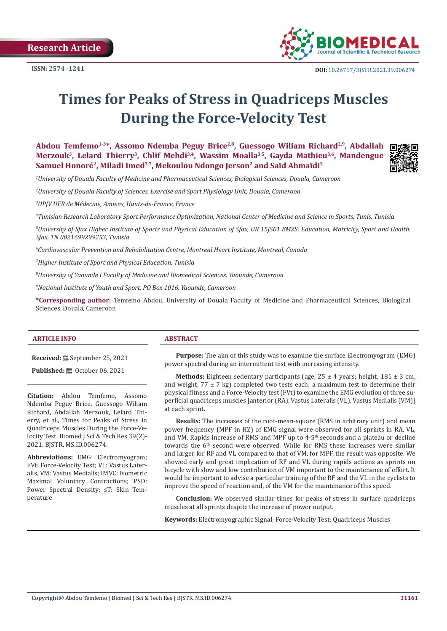

# **Times for Peaks of Stress in Quadriceps Muscles During the Force-Velocity Test**

Abdou Temfemo<sup>1-3\*</sup>, Assomo Ndemba Peguy Brice<sup>2,8</sup>, Guessogo Wiliam Richard<sup>2,9</sup>, Abdallah Merzouk<sup>3</sup>, Lelard Thierry<sup>3</sup>, Chlif Mehdi<sup>3,4</sup>, Wassim Moalla<sup>3,5</sup>, Gayda Mathieu<sup>3,6</sup>, Mandengue **Samuel Honoré2, Miladi Imed3,7, Mekoulou Ndongo Jerson2 and Saïd Ahmaïdi3**



*1 University of Douala Faculty of Medicine and Pharmaceutical Sciences, Biological Sciences, Douala, Cameroon*

*2 University of Douala Faculty of Sciences, Exercise and Sport Physiology Unit, Douala, Cameroon*

*3 UPJV UFR de Médecine, Amiens, Hauts-de-France, France*

*4 Tunisian Research Laboratory Sport Performance Optimization, National Center of Medicine and Science in Sports, Tunis, Tunisia*

*5 University of Sfax Higher Institute of Sports and Physical Education of Sfax, UR 15JS01 EM2S: Education, Motricity, Sport and Health. Sfax, TN 0021699299253, Tunisia*

*6 Cardiovascular Prevention and Rehabilitation Centre, Montreal Heart Institute, Montreal, Canada*

*7 Higher Institute of Sport and Physical Education, Tunisia*

*8 University of Yaounde I Faculty of Medicine and Biomedical Sciences, Yaounde, Cameroon*

*9 National Institute of Youth and Sport, PO Box 1016, Yaounde, Cameroon*

**\*Corresponding author:** Temfemo Abdou, University of Douala Faculty of Medicine and Pharmaceutical Sciences, Biological Sciences, Douala, Cameroon

#### **ARTICLE INFO ABSTRACT**

**Received:** September 25, 2021

**Published:** © October 06, 2021

**Citation:** Abdou Temfemo, Assomo Ndemba Peguy Brice, Guessogo Wiliam Richard, Abdallah Merzouk, Lelard Thierry, et al., Times for Peaks of Stress in Quadriceps Muscles During the Force-Velocity Test. Biomed J Sci & Tech Res 39(2)-2021. BJSTR. MS.ID.006274.

**Abbreviations:** EMG: Electromyogram; FVt: Force-Velocity Test; VL: Vastus Lateralis, VM: Vastus Medialis; IMVC: Isometric Maximal Voluntary Contractions; PSD: Power Spectral Density; sT: Skin Temperature

**Purpose:** The aim of this study was to examine the surface Electromyogram (EMG) power spectral during an intermittent test with increasing intensity.

**Methods:** Eighteen sedentary participants (age,  $25 \pm 4$  years; height,  $181 \pm 3$  cm, and weight,  $77 \pm 7$  kg) completed two tests each: a maximum test to determine their physical fitness and a Force-Velocity test (FVt) to examine the EMG evolution of three superficial quadriceps muscles [anterior (RA), Vastus Lateralis (VL), Vastus Medialis (VM)] at each sprint.

**Results:** The increases of the root-mean-square (RMS in arbitrary unit) and mean power frequency (MPF in HZ) of EMG signal were observed for all sprints in RA, VL, and VM. Rapids increase of RMS and MPF up to 4-5<sup>th</sup> seconds and a plateau or decline towards the 6<sup>th</sup> second were observed. While for RMS these increases were similar and larger for RF and VL compared to that of VM, for MPF, the result was opposite. We showed early and great implication of RF and VL during rapids actions as sprints on bicycle with slow and low contribution of VM important to the maintenance of effort. It would be important to advise a particular training of the RF and the VL in the cyclists to improve the speed of reaction and, of the VM for the maintenance of this speed.

**Conclusion:** We observed similar times for peaks of stress in surface quadriceps muscles at all sprints despite the increase of power output.

**Keywords:** Electromyographic Signal; Force-Velocity Test; Quadriceps Muscles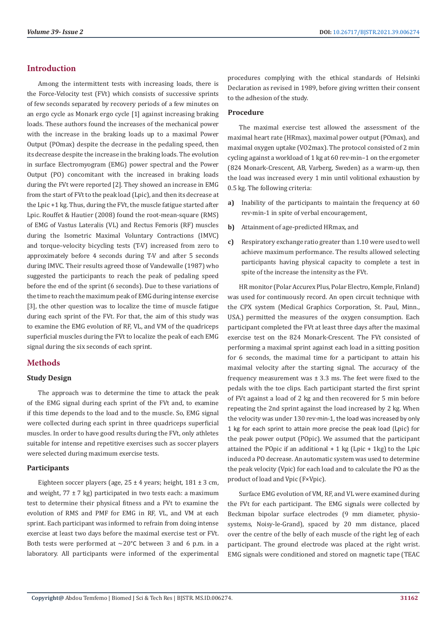# **Introduction**

Among the intermittent tests with increasing loads, there is the Force-Velocity test (FVt) which consists of successive sprints of few seconds separated by recovery periods of a few minutes on an ergo cycle as Monark ergo cycle [1] against increasing braking loads. These authors found the increases of the mechanical power with the increase in the braking loads up to a maximal Power Output (POmax) despite the decrease in the pedaling speed, then its decrease despite the increase in the braking loads. The evolution in surface Electromyogram (EMG) power spectral and the Power Output (PO) concomitant with the increased in braking loads during the FVt were reported [2]. They showed an increase in EMG from the start of FVt to the peak load (Lpic), and then its decrease at the Lpic +1 kg. Thus, during the FVt, the muscle fatigue started after Lpic. Rouffet & Hautier (2008) found the root-mean-square (RMS) of EMG of Vastus Lateralis (VL) and Rectus Femoris (RF) muscles during the Isometric Maximal Voluntary Contractions (IMVC) and torque–velocity bicycling tests (T-V) increased from zero to approximately before 4 seconds during T-V and after 5 seconds during IMVC. Their results agreed those of Vandewalle (1987) who suggested the participants to reach the peak of pedaling speed before the end of the sprint (6 seconds). Due to these variations of the time to reach the maximum peak of EMG during intense exercise [3], the other question was to localize the time of muscle fatigue during each sprint of the FVt. For that, the aim of this study was to examine the EMG evolution of RF, VL, and VM of the quadriceps superficial muscles during the FVt to localize the peak of each EMG signal during the six seconds of each sprint.

# **Methods**

#### **Study Design**

The approach was to determine the time to attack the peak of the EMG signal during each sprint of the FVt and, to examine if this time depends to the load and to the muscle. So, EMG signal were collected during each sprint in three quadriceps superficial muscles. In order to have good results during the FVt, only athletes suitable for intense and repetitive exercises such as soccer players were selected during maximum exercise tests.

# **Participants**

Eighteen soccer players (age,  $25 \pm 4$  years; height,  $181 \pm 3$  cm, and weight,  $77 \pm 7$  kg) participated in two tests each: a maximum test to determine their physical fitness and a FVt to examine the evolution of RMS and PMF for EMG in RF, VL, and VM at each sprint. Each participant was informed to refrain from doing intense exercise at least two days before the maximal exercise test or FVt. Both tests were performed at  $\sim$ 20 $^{\circ}$ C between 3 and 6 p.m. in a laboratory. All participants were informed of the experimental procedures complying with the ethical standards of Helsinki Declaration as revised in 1989, before giving written their consent to the adhesion of the study.

#### **Procedure**

The maximal exercise test allowed the assessment of the maximal heart rate (HRmax), maximal power output (POmax), and maximal oxygen uptake (VO2max). The protocol consisted of 2 min cycling against a workload of 1 kg at 60 rev·min–1 on the ergometer (824 Monark-Crescent, AB, Varberg, Sweden) as a warm-up, then the load was increased every 1 min until volitional exhaustion by 0.5 kg. The following criteria:

- **a)** Inability of the participants to maintain the frequency at 60 rev·min-1 in spite of verbal encouragement,
- **b)** Attainment of age-predicted HRmax, and
- **c)** Respiratory exchange ratio greater than 1.10 were used to well achieve maximum performance. The results allowed selecting participants having physical capacity to complete a test in spite of the increase the intensity as the FVt.

HR monitor (Polar Accurex Plus, Polar Electro, Kemple, Finland) was used for continuously record. An open circuit technique with the CPX system (Medical Graphics Corporation, St. Paul, Minn., USA.) permitted the measures of the oxygen consumption. Each participant completed the FVt at least three days after the maximal exercise test on the 824 Monark-Crescent. The FVt consisted of performing a maximal sprint against each load in a sitting position for 6 seconds, the maximal time for a participant to attain his maximal velocity after the starting signal. The accuracy of the frequency measurement was  $\pm$  3.3 ms. The feet were fixed to the pedals with the toe clips. Each participant started the first sprint of FVt against a load of 2 kg and then recovered for 5 min before repeating the 2nd sprint against the load increased by 2 kg. When the velocity was under 130 rev·min-1, the load was increased by only 1 kg for each sprint to attain more precise the peak load (Lpic) for the peak power output (POpic). We assumed that the participant attained the POpic if an additional  $+1$  kg (Lpic  $+1$ kg) to the Lpic induced a PO decrease. An automatic system was used to determine the peak velocity (Vpic) for each load and to calculate the PO as the product of load and Vpic (F×Vpic).

Surface EMG evolution of VM, RF, and VL were examined during the FVt for each participant. The EMG signals were collected by Beckman bipolar surface electrodes (9 mm diameter, physiosystems, Noisy-le-Grand), spaced by 20 mm distance, placed over the centre of the belly of each muscle of the right leg of each participant. The ground electrode was placed at the right wrist. EMG signals were conditioned and stored on magnetic tape (TEAC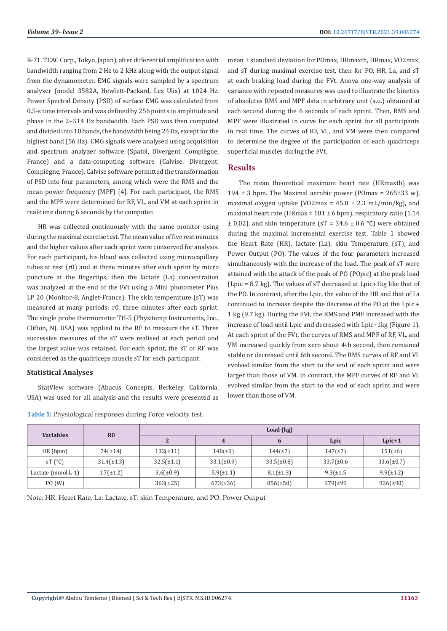R-71, TEAC Corp., Tokyo, Japan), after differential amplification with bandwidth ranging from 2 Hz to 2 kHz along with the output signal from the dynamometer. EMG signals were sampled by a spectrum analyser (model 3582A, Hewlett-Packard, Les Ulis) at 1024 Hz. Power Spectral Density (PSD) of surface EMG was calculated from 0.5-s time intervals and was defined by 256 points in amplitude and phase in the 2−514 Hz bandwidth. Each PSD was then computed and divided into 10 bands, the bandwidth being 24 Hz, except for the highest band (56 Hz). EMG signals were analysed using acquisition and spectrum analyzer software (Spatol, Divergent, Compiègne, France) and a data-computing software (Calvise, Divergent, Compiègne, France). Calvise software permitted the transformation of PSD into four parameters, among which were the RMS and the mean power frequency (MPF) [4]. For each participant, the RMS and the MPF were determined for RF, VL, and VM at each sprint in real-time during 6 seconds by the computer.

HR was collected continuously with the same monitor using during the maximal exercise test. The mean value of five rest minutes and the higher values after each sprint were conserved for analysis. For each participant, his blood was collected using microcapillary tubes at rest (r0) and at three minutes after each sprint by micro puncture at the fingertips, then the lactate (La) concentration was analyzed at the end of the FVt using a Mini photometer Plus LP 20 (Monitor-8, Anglet-France). The skin temperature (sT) was measured at many periods: r0, three minutes after each sprint. The single probe thermometer TH-5 (Physitemp Instruments, Inc., Clifton, NJ, USA) was applied to the RF to measure the sT. Three successive measures of the sT were realised at each period and the largest value was retained. For each sprint, the sT of RF was considered as the quadriceps muscle sT for each participant.

#### **Statistical Analyses**

StatView software (Abacus Concepts, Berkeley, California, USA) was used for all analysis and the results were presented as

| <b>Table 1:</b> Physiological responses during Force velocity test. |  |  |  |  |  |  |
|---------------------------------------------------------------------|--|--|--|--|--|--|
|---------------------------------------------------------------------|--|--|--|--|--|--|

mean ± standard deviation for POmax, HRmaxth, HRmax, VO2max, and sT during maximal exercise test, then for PO, HR, La, and sT at each braking load during the FVt. Anova one-way analysis of variance with repeated measures was used to illustrate the kinetics of absolutes RMS and MPF data in arbitrary unit (a.u.) obtained at each second during the 6 seconds of each sprint. Then, RMS and MPF were illustrated in curve for each sprint for all participants in real time. The curves of RF, VL, and VM were then compared to determine the degree of the participation of each quadriceps superficial muscles during the FVt.

#### **Results**

The mean theoretical maximum heart rate (HRmaxth) was 194  $\pm$  3 bpm. The Maximal aerobic power (POmax = 265 $\pm$ 33 w), maximal oxygen uptake (VO2max =  $45.8 \pm 2.3$  mL/min/kg), and maximal heart rate (HRmax =  $181 \pm 6$  bpm), respiratory ratio (1.14  $\pm$  0.02), and skin temperature (sT = 34.6  $\pm$  0.6 °C) were obtained during the maximal incremental exercise test. Table 1 showed the Heart Rate (HR), lactate (La), skin Temperature (sT), and Power Output (PO). The values of the four parameters increased simultaneously with the increase of the load. The peak of sT were attained with the attack of the peak of PO (POpic) at the peak load (Lpic = 8.7 kg). The values of sT decreased at Lpic+1kg like that of the PO. In contrast, after the Lpic, the value of the HR and that of La continued to increase despite the decrease of the PO at the Lpic + 1 kg (9.7 kg). During the FVt, the RMS and PMF increased with the increase of load until Lpic and decreased with Lpic+1kg (Figure 1). At each sprint of the FVt, the curves of RMS and MPF of RF, VL, and VM increased quickly from zero about 4th second, then remained stable or decreased until 6th second. The RMS curves of RF and VL evolved similar from the start to the end of each sprint and were larger than those of VM. In contract, the MPF curves of RF and VL evolved similar from the start to the end of each sprint and were lower than those of VM.

| <b>Variables</b>   | R <sub>0</sub>  | Load (kg)       |                 |                 |                 |                 |  |  |
|--------------------|-----------------|-----------------|-----------------|-----------------|-----------------|-----------------|--|--|
|                    |                 | $\overline{2}$  |                 | 6               | Lpic            | $Lpic+1$        |  |  |
| HR(bpm)            | $74(\pm 14)$    | $132(\pm 11)$   | $140(\pm 9)$    | $144(\pm 7)$    | $147(\pm 7)$    | $151(\pm 6)$    |  |  |
| sT $(^{\circ}C)$   | $31.4(\pm 1.3)$ | $32.5(\pm 1.1)$ | $33.1(\pm 0.9)$ | $33.5(\pm 0.8)$ | $33.7(\pm 0.6)$ | $33.6(\pm 0.7)$ |  |  |
| Lactate (mmol.L-1) | $1.7(\pm 1.2)$  | $3.6(\pm 0.9)$  | $5.9(\pm 1.1)$  | $8.1(\pm 1.3)$  | $9.3(\pm 1.5)$  | $9.9(\pm 1.2)$  |  |  |
| PO(W)              |                 | $363(\pm 25)$   | $673(\pm 36)$   | $856(\pm 50)$   | 979 (±99)       | $926(\pm 90)$   |  |  |

Note: HR: Heart Rate, La: Lactate, sT: skin Temperature, and PO: Power Output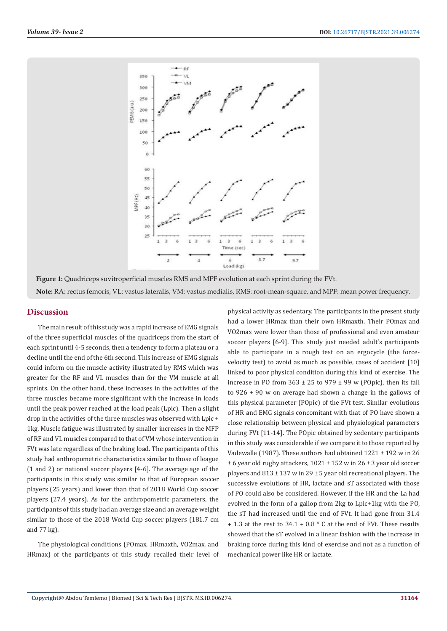

**Figure 1:** Quadriceps suvitroperficial muscles RMS and MPF evolution at each sprint during the FVt. **Note:** RA: rectus femoris, VL: vastus lateralis, VM: vastus medialis, RMS: root-mean-square, and MPF: mean power frequency.

#### **Discussion**

The main result of this study was a rapid increase of EMG signals of the three superficial muscles of the quadriceps from the start of each sprint until 4-5 seconds, then a tendency to form a plateau or a decline until the end of the 6th second. This increase of EMG signals could inform on the muscle activity illustrated by RMS which was greater for the RF and VL muscles than for the VM muscle at all sprints. On the other hand, these increases in the activities of the three muscles became more significant with the increase in loads until the peak power reached at the load peak (Lpic). Then a slight drop in the activities of the three muscles was observed with Lpic + 1kg. Muscle fatigue was illustrated by smaller increases in the MFP of RF and VL muscles compared to that of VM whose intervention in FVt was late regardless of the braking load. The participants of this study had anthropometric characteristics similar to those of league (1 and 2) or national soccer players [4-6]. The average age of the participants in this study was similar to that of European soccer players (25 years) and lower than that of 2018 World Cup soccer players (27.4 years). As for the anthropometric parameters, the participants of this study had an average size and an average weight similar to those of the 2018 World Cup soccer players (181.7 cm and 77 kg).

The physiological conditions (POmax, HRmaxth, VO2max, and HRmax) of the participants of this study recalled their level of physical activity as sedentary. The participants in the present study had a lower HRmax than their own HRmaxth. Their POmax and VO2max were lower than those of professional and even amateur soccer players [6-9]. This study just needed adult's participants able to participate in a rough test on an ergocycle (the forcevelocity test) to avoid as much as possible, cases of accident [10] linked to poor physical condition during this kind of exercise. The increase in PO from  $363 \pm 25$  to 979  $\pm$  99 w (POpic), then its fall to 926 + 90 w on average had shown a change in the gallows of this physical parameter (POpic) of the FVt test. Similar evolutions of HR and EMG signals concomitant with that of PO have shown a close relationship between physical and physiological parameters during FVt [11-14]. The POpic obtained by sedentary participants in this study was considerable if we compare it to those reported by Vadewalle (1987). These authors had obtained 1221 ± 192 w in 26 ± 6 year old rugby attackers, 1021 ± 152 w in 26 ± 3 year old soccer players and 813 ± 137 w in 29 ± 5 year old recreational players. The successive evolutions of HR, lactate and sT associated with those of PO could also be considered. However, if the HR and the La had evolved in the form of a gallop from 2kg to Lpic+1kg with the PO, the sT had increased until the end of FVt. It had gone from 31.4  $+ 1.3$  at the rest to 34.1 + 0.8  $\degree$  C at the end of FVt. These results showed that the sT evolved in a linear fashion with the increase in braking force during this kind of exercise and not as a function of mechanical power like HR or lactate.